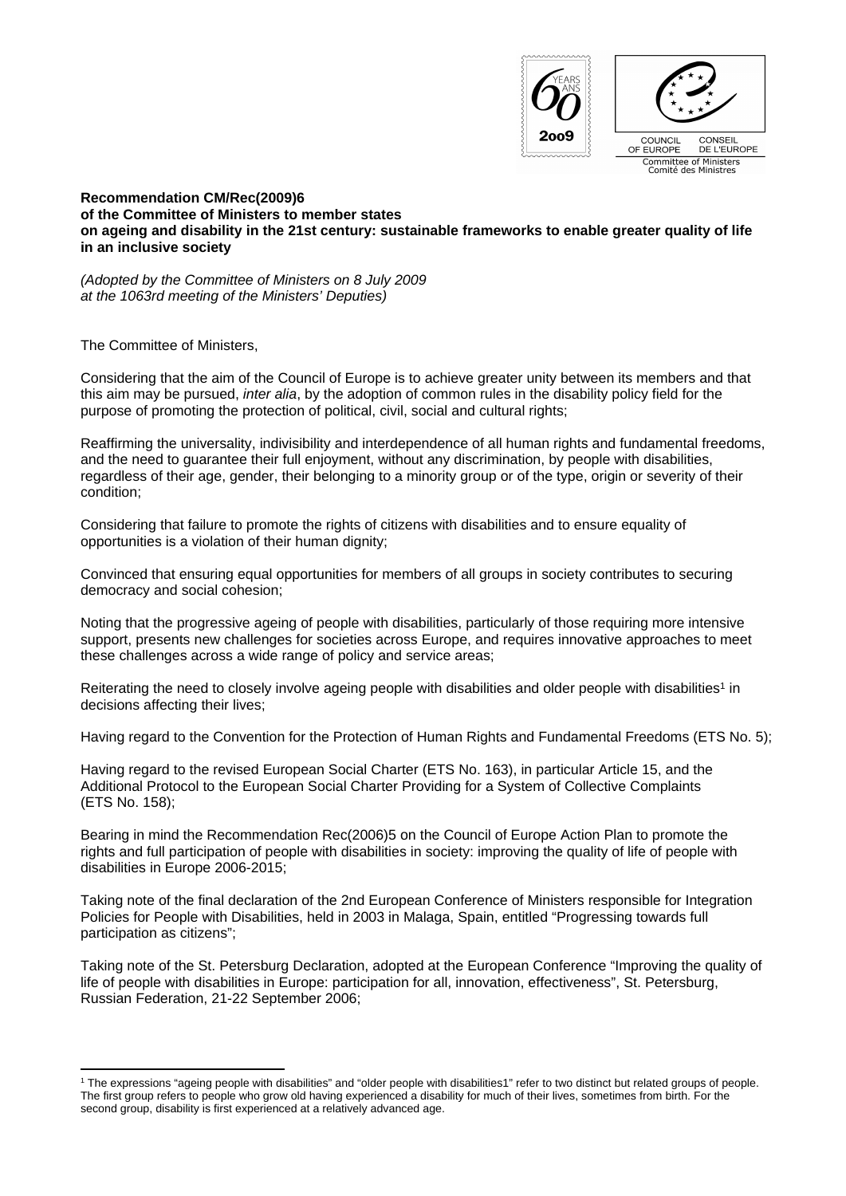

**Recommendation CM/Rec(2009)6 of the Committee of Ministers to member states on ageing and disability in the 21st century: sustainable frameworks to enable greater quality of life in an inclusive society**

*(Adopted by the Committee of Ministers on 8 July 2009 at the 1063rd meeting of the Ministers' Deputies)*

The Committee of Ministers,

Considering that the aim of the Council of Europe is to achieve greater unity between its members and that this aim may be pursued, *inter alia*, by the adoption of common rules in the disability policy field for the purpose of promoting the protection of political, civil, social and cultural rights;

Reaffirming the universality, indivisibility and interdependence of all human rights and fundamental freedoms, and the need to guarantee their full enjoyment, without any discrimination, by people with disabilities, regardless of their age, gender, their belonging to a minority group or of the type, origin or severity of their condition;

Considering that failure to promote the rights of citizens with disabilities and to ensure equality of opportunities is a violation of their human dignity;

Convinced that ensuring equal opportunities for members of all groups in society contributes to securing democracy and social cohesion;

Noting that the progressive ageing of people with disabilities, particularly of those requiring more intensive support, presents new challenges for societies across Europe, and requires innovative approaches to meet these challenges across a wide range of policy and service areas;

Reiterating the need to closely involve ageing people with disabilities and older people with disabilities<sup>1</sup> in decisions affecting their lives;

Having regard to the Convention for the Protection of Human Rights and Fundamental Freedoms (ETS No. 5);

Having regard to the revised European Social Charter (ETS No. 163), in particular Article 15, and the Additional Protocol to the European Social Charter Providing for a System of Collective Complaints (ETS No. 158);

Bearing in mind the Recommendation Rec(2006)5 on the Council of Europe Action Plan to promote the rights and full participation of people with disabilities in society: improving the quality of life of people with disabilities in Europe 2006-2015;

Taking note of the final declaration of the 2nd European Conference of Ministers responsible for Integration Policies for People with Disabilities, held in 2003 in Malaga, Spain, entitled "Progressing towards full participation as citizens";

Taking note of the St. Petersburg Declaration, adopted at the European Conference "Improving the quality of life of people with disabilities in Europe: participation for all, innovation, effectiveness", St. Petersburg, Russian Federation, 21-22 September 2006;

<sup>1</sup> The expressions "ageing people with disabilities" and "older people with disabilities1" refer to two distinct but related groups of people. The first group refers to people who grow old having experienced a disability for much of their lives, sometimes from birth. For the second group, disability is first experienced at a relatively advanced age.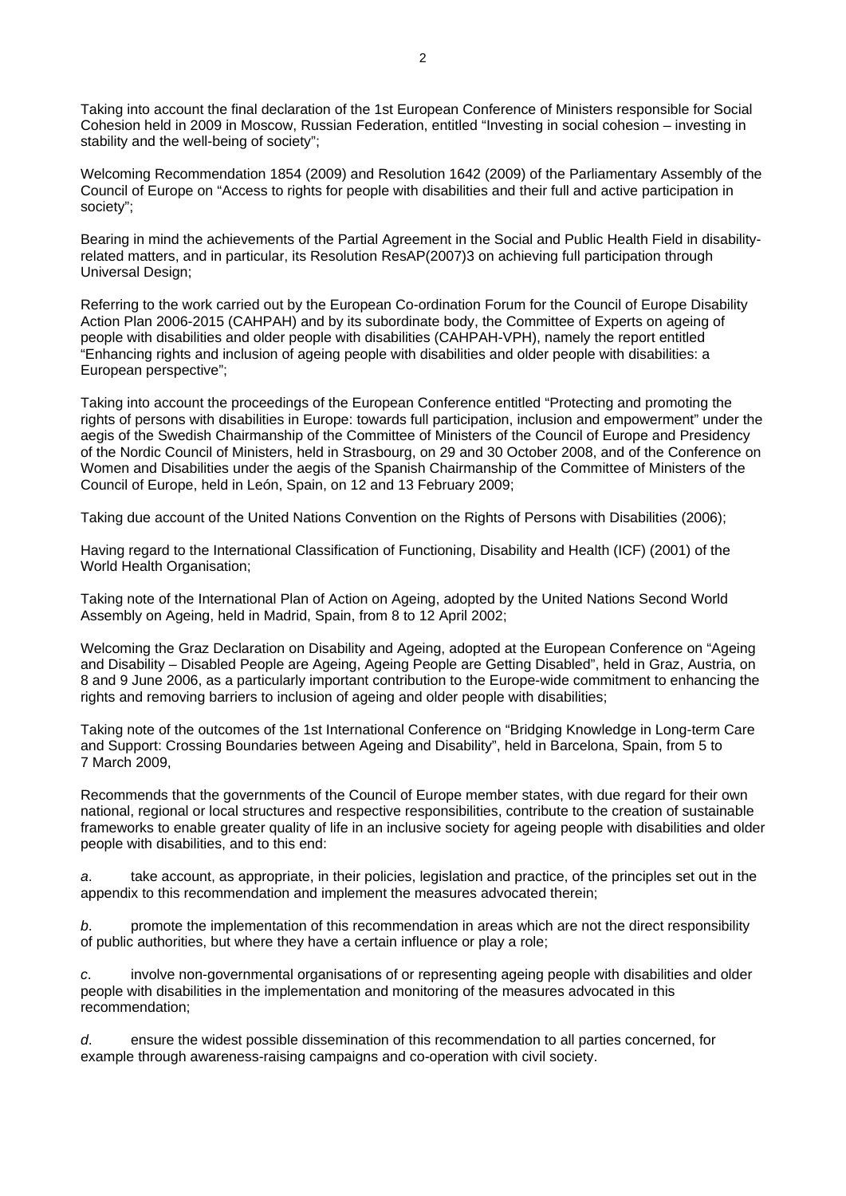Taking into account the final declaration of the 1st European Conference of Ministers responsible for Social Cohesion held in 2009 in Moscow, Russian Federation, entitled "Investing in social cohesion – investing in stability and the well-being of society";

Welcoming Recommendation 1854 (2009) and Resolution 1642 (2009) of the Parliamentary Assembly of the Council of Europe on "Access to rights for people with disabilities and their full and active participation in society";

Bearing in mind the achievements of the Partial Agreement in the Social and Public Health Field in disabilityrelated matters, and in particular, its Resolution ResAP(2007)3 on achieving full participation through Universal Design;

Referring to the work carried out by the European Co-ordination Forum for the Council of Europe Disability Action Plan 2006-2015 (CAHPAH) and by its subordinate body, the Committee of Experts on ageing of people with disabilities and older people with disabilities (CAHPAH-VPH), namely the report entitled "Enhancing rights and inclusion of ageing people with disabilities and older people with disabilities: a European perspective";

Taking into account the proceedings of the European Conference entitled "Protecting and promoting the rights of persons with disabilities in Europe: towards full participation, inclusion and empowerment" under the aegis of the Swedish Chairmanship of the Committee of Ministers of the Council of Europe and Presidency of the Nordic Council of Ministers, held in Strasbourg, on 29 and 30 October 2008, and of the Conference on Women and Disabilities under the aegis of the Spanish Chairmanship of the Committee of Ministers of the Council of Europe, held in León, Spain, on 12 and 13 February 2009;

Taking due account of the United Nations Convention on the Rights of Persons with Disabilities (2006);

Having regard to the International Classification of Functioning, Disability and Health (ICF) (2001) of the World Health Organisation;

Taking note of the International Plan of Action on Ageing, adopted by the United Nations Second World Assembly on Ageing, held in Madrid, Spain, from 8 to 12 April 2002;

Welcoming the Graz Declaration on Disability and Ageing, adopted at the European Conference on "Ageing and Disability – Disabled People are Ageing, Ageing People are Getting Disabled", held in Graz, Austria, on 8 and 9 June 2006, as a particularly important contribution to the Europe-wide commitment to enhancing the rights and removing barriers to inclusion of ageing and older people with disabilities;

Taking note of the outcomes of the 1st International Conference on "Bridging Knowledge in Long-term Care and Support: Crossing Boundaries between Ageing and Disability", held in Barcelona, Spain, from 5 to 7 March 2009,

Recommends that the governments of the Council of Europe member states, with due regard for their own national, regional or local structures and respective responsibilities, contribute to the creation of sustainable frameworks to enable greater quality of life in an inclusive society for ageing people with disabilities and older people with disabilities, and to this end:

*a*. take account, as appropriate, in their policies, legislation and practice, of the principles set out in the appendix to this recommendation and implement the measures advocated therein;

*b*. promote the implementation of this recommendation in areas which are not the direct responsibility of public authorities, but where they have a certain influence or play a role;

*c*. involve non-governmental organisations of or representing ageing people with disabilities and older people with disabilities in the implementation and monitoring of the measures advocated in this recommendation;

*d*. ensure the widest possible dissemination of this recommendation to all parties concerned, for example through awareness-raising campaigns and co-operation with civil society.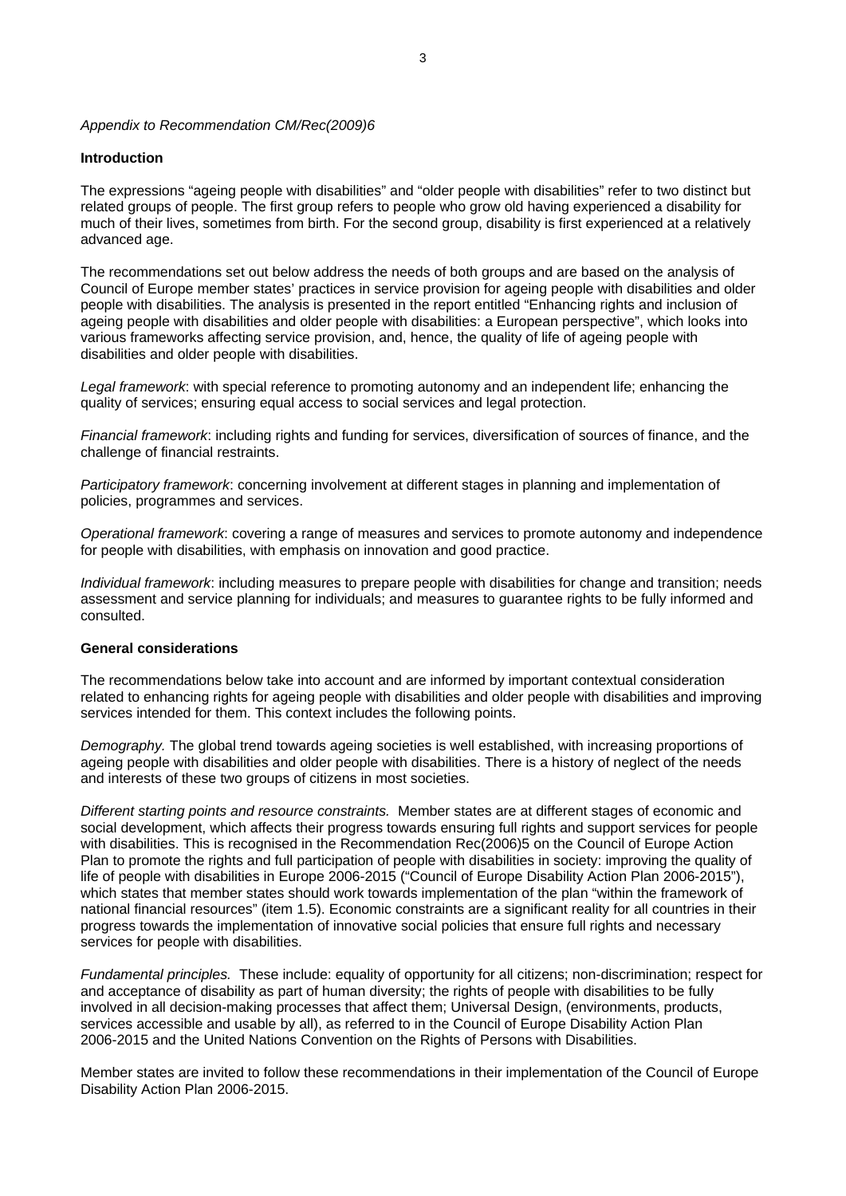### *Appendix to Recommendation CM/Rec(2009)6*

### **Introduction**

The expressions "ageing people with disabilities" and "older people with disabilities" refer to two distinct but related groups of people. The first group refers to people who grow old having experienced a disability for much of their lives, sometimes from birth. For the second group, disability is first experienced at a relatively advanced age.

The recommendations set out below address the needs of both groups and are based on the analysis of Council of Europe member states' practices in service provision for ageing people with disabilities and older people with disabilities. The analysis is presented in the report entitled "Enhancing rights and inclusion of ageing people with disabilities and older people with disabilities: a European perspective", which looks into various frameworks affecting service provision, and, hence, the quality of life of ageing people with disabilities and older people with disabilities.

*Legal framework*: with special reference to promoting autonomy and an independent life; enhancing the quality of services; ensuring equal access to social services and legal protection.

*Financial framework*: including rights and funding for services, diversification of sources of finance, and the challenge of financial restraints.

*Participatory framework*: concerning involvement at different stages in planning and implementation of policies, programmes and services.

*Operational framework*: covering a range of measures and services to promote autonomy and independence for people with disabilities, with emphasis on innovation and good practice.

*Individual framework*: including measures to prepare people with disabilities for change and transition; needs assessment and service planning for individuals; and measures to guarantee rights to be fully informed and consulted.

## **General considerations**

The recommendations below take into account and are informed by important contextual consideration related to enhancing rights for ageing people with disabilities and older people with disabilities and improving services intended for them. This context includes the following points.

*Demography.* The global trend towards ageing societies is well established, with increasing proportions of ageing people with disabilities and older people with disabilities. There is a history of neglect of the needs and interests of these two groups of citizens in most societies.

*Different starting points and resource constraints.* Member states are at different stages of economic and social development, which affects their progress towards ensuring full rights and support services for people with disabilities. This is recognised in the Recommendation Rec(2006)5 on the Council of Europe Action Plan to promote the rights and full participation of people with disabilities in society: improving the quality of life of people with disabilities in Europe 2006-2015 ("Council of Europe Disability Action Plan 2006-2015"), which states that member states should work towards implementation of the plan "within the framework of national financial resources" (item 1.5). Economic constraints are a significant reality for all countries in their progress towards the implementation of innovative social policies that ensure full rights and necessary services for people with disabilities.

*Fundamental principles.* These include: equality of opportunity for all citizens; non-discrimination; respect for and acceptance of disability as part of human diversity; the rights of people with disabilities to be fully involved in all decision-making processes that affect them; Universal Design, (environments, products, services accessible and usable by all), as referred to in the Council of Europe Disability Action Plan 2006-2015 and the United Nations Convention on the Rights of Persons with Disabilities.

Member states are invited to follow these recommendations in their implementation of the Council of Europe Disability Action Plan 2006-2015.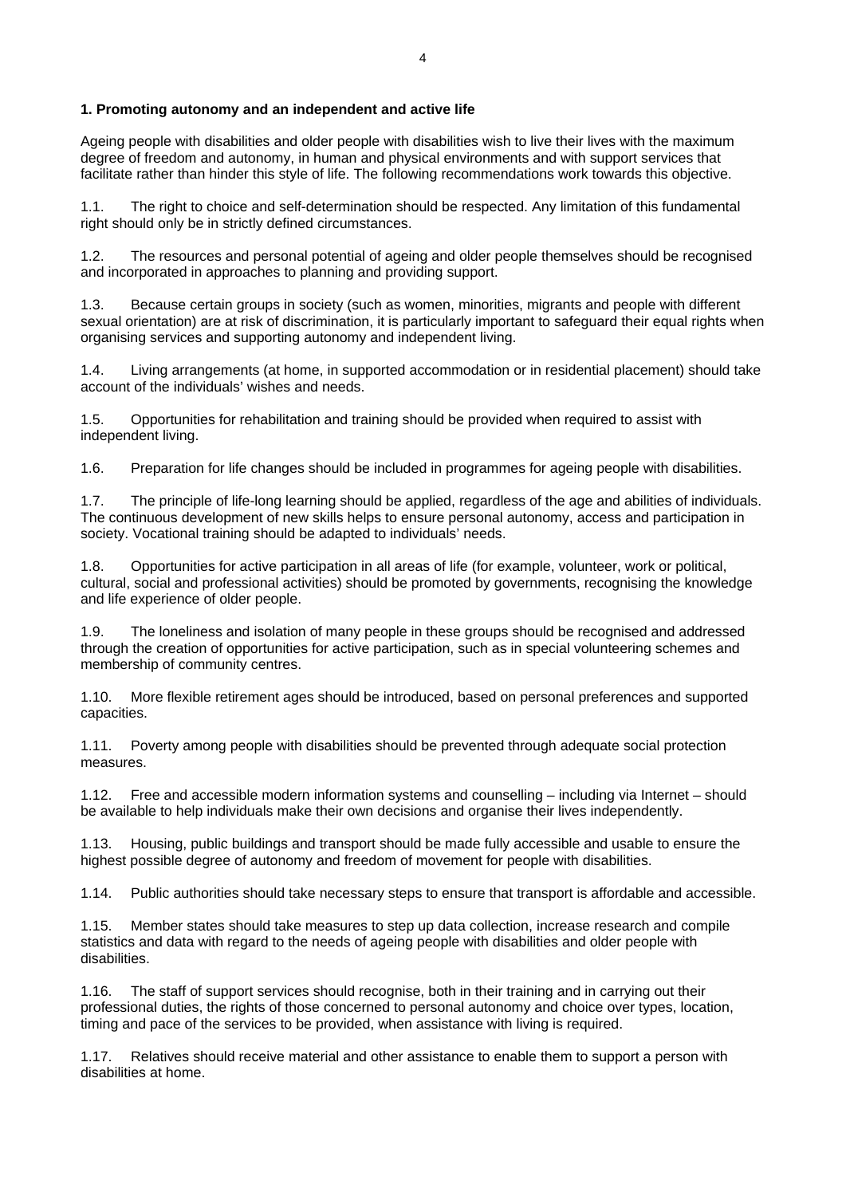### **1. Promoting autonomy and an independent and active life**

Ageing people with disabilities and older people with disabilities wish to live their lives with the maximum degree of freedom and autonomy, in human and physical environments and with support services that facilitate rather than hinder this style of life. The following recommendations work towards this objective.

1.1. The right to choice and self-determination should be respected. Any limitation of this fundamental right should only be in strictly defined circumstances.

1.2. The resources and personal potential of ageing and older people themselves should be recognised and incorporated in approaches to planning and providing support.

1.3. Because certain groups in society (such as women, minorities, migrants and people with different sexual orientation) are at risk of discrimination, it is particularly important to safeguard their equal rights when organising services and supporting autonomy and independent living.

1.4. Living arrangements (at home, in supported accommodation or in residential placement) should take account of the individuals' wishes and needs.

1.5. Opportunities for rehabilitation and training should be provided when required to assist with independent living.

1.6. Preparation for life changes should be included in programmes for ageing people with disabilities.

1.7. The principle of life-long learning should be applied, regardless of the age and abilities of individuals. The continuous development of new skills helps to ensure personal autonomy, access and participation in society. Vocational training should be adapted to individuals' needs.

1.8. Opportunities for active participation in all areas of life (for example, volunteer, work or political, cultural, social and professional activities) should be promoted by governments, recognising the knowledge and life experience of older people.

1.9. The loneliness and isolation of many people in these groups should be recognised and addressed through the creation of opportunities for active participation, such as in special volunteering schemes and membership of community centres.

1.10. More flexible retirement ages should be introduced, based on personal preferences and supported capacities.

1.11. Poverty among people with disabilities should be prevented through adequate social protection measures.

1.12. Free and accessible modern information systems and counselling – including via Internet – should be available to help individuals make their own decisions and organise their lives independently.

1.13. Housing, public buildings and transport should be made fully accessible and usable to ensure the highest possible degree of autonomy and freedom of movement for people with disabilities.

1.14. Public authorities should take necessary steps to ensure that transport is affordable and accessible.

1.15. Member states should take measures to step up data collection, increase research and compile statistics and data with regard to the needs of ageing people with disabilities and older people with disabilities.

1.16. The staff of support services should recognise, both in their training and in carrying out their professional duties, the rights of those concerned to personal autonomy and choice over types, location, timing and pace of the services to be provided, when assistance with living is required.

1.17. Relatives should receive material and other assistance to enable them to support a person with disabilities at home.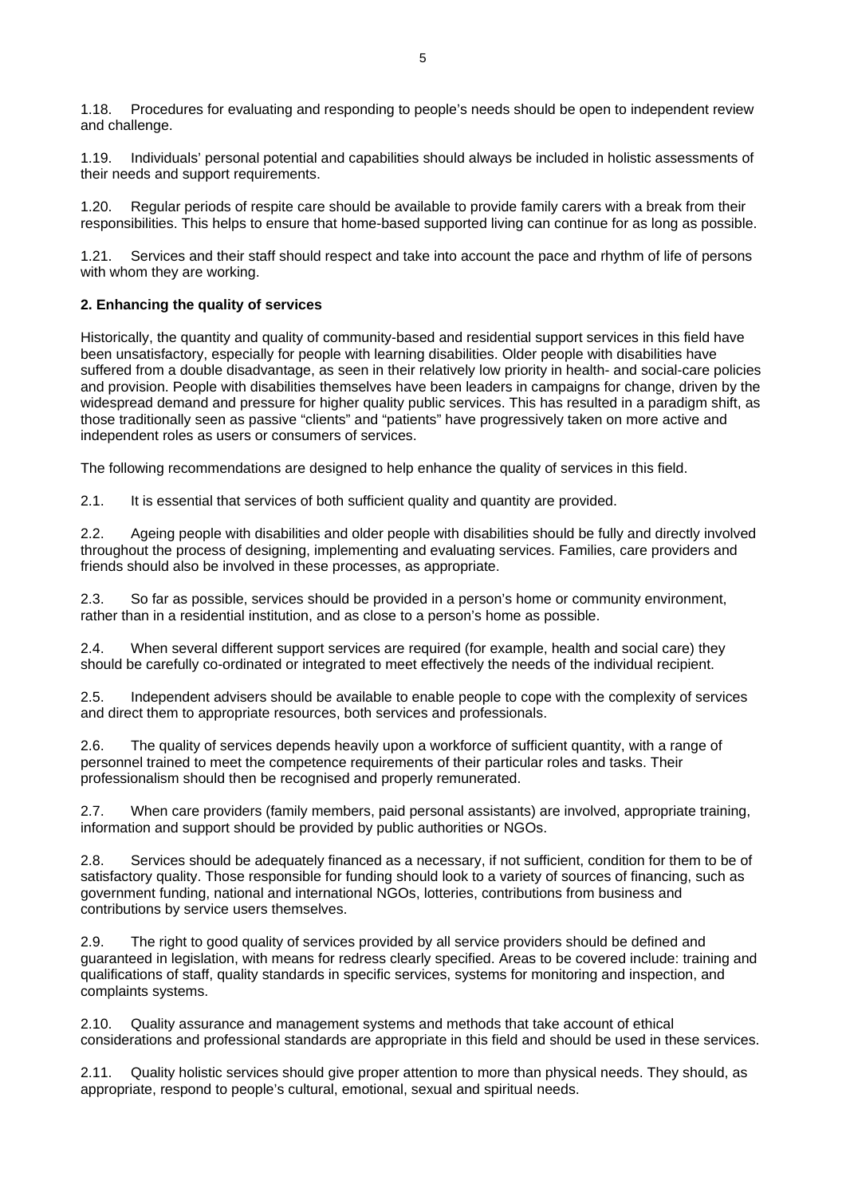1.18. Procedures for evaluating and responding to people's needs should be open to independent review and challenge.

1.19. Individuals' personal potential and capabilities should always be included in holistic assessments of their needs and support requirements.

1.20. Regular periods of respite care should be available to provide family carers with a break from their responsibilities. This helps to ensure that home-based supported living can continue for as long as possible.

1.21. Services and their staff should respect and take into account the pace and rhythm of life of persons with whom they are working.

# **2. Enhancing the quality of services**

Historically, the quantity and quality of community-based and residential support services in this field have been unsatisfactory, especially for people with learning disabilities. Older people with disabilities have suffered from a double disadvantage, as seen in their relatively low priority in health- and social-care policies and provision. People with disabilities themselves have been leaders in campaigns for change, driven by the widespread demand and pressure for higher quality public services. This has resulted in a paradigm shift, as those traditionally seen as passive "clients" and "patients" have progressively taken on more active and independent roles as users or consumers of services.

The following recommendations are designed to help enhance the quality of services in this field.

2.1. It is essential that services of both sufficient quality and quantity are provided.

2.2. Ageing people with disabilities and older people with disabilities should be fully and directly involved throughout the process of designing, implementing and evaluating services. Families, care providers and friends should also be involved in these processes, as appropriate.

2.3. So far as possible, services should be provided in a person's home or community environment, rather than in a residential institution, and as close to a person's home as possible.

2.4. When several different support services are required (for example, health and social care) they should be carefully co-ordinated or integrated to meet effectively the needs of the individual recipient.

2.5. Independent advisers should be available to enable people to cope with the complexity of services and direct them to appropriate resources, both services and professionals.

2.6. The quality of services depends heavily upon a workforce of sufficient quantity, with a range of personnel trained to meet the competence requirements of their particular roles and tasks. Their professionalism should then be recognised and properly remunerated.

2.7. When care providers (family members, paid personal assistants) are involved, appropriate training, information and support should be provided by public authorities or NGOs.

2.8. Services should be adequately financed as a necessary, if not sufficient, condition for them to be of satisfactory quality. Those responsible for funding should look to a variety of sources of financing, such as government funding, national and international NGOs, lotteries, contributions from business and contributions by service users themselves.

2.9. The right to good quality of services provided by all service providers should be defined and guaranteed in legislation, with means for redress clearly specified. Areas to be covered include: training and qualifications of staff, quality standards in specific services, systems for monitoring and inspection, and complaints systems.

2.10. Quality assurance and management systems and methods that take account of ethical considerations and professional standards are appropriate in this field and should be used in these services.

Quality holistic services should give proper attention to more than physical needs. They should, as appropriate, respond to people's cultural, emotional, sexual and spiritual needs.